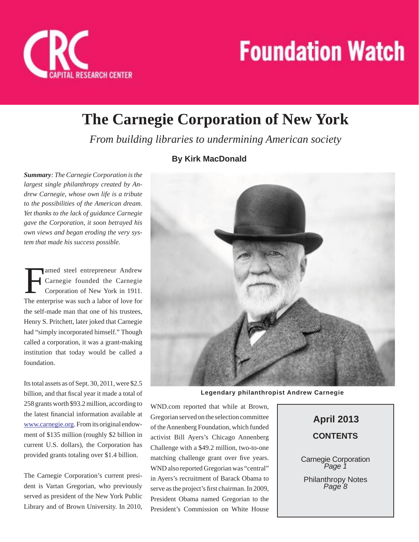

## **The Carnegie Corporation of New York**

*From building libraries to undermining American society*

## **By Kirk MacDonald**

*Summary: The Carnegie Corporation is the largest single philanthropy created by Andrew Carnegie, whose own life is a tribute to the possibilities of the American dream. Yet thanks to the lack of guidance Carnegie gave the Corporation, it soon betrayed his own views and began eroding the very system that made his success possible.*

amed steel entrepreneur Andrew<br>Carnegie founded the Carnegie<br>Corporation of New York in 1911. Carnegie founded the Carnegie Corporation of New York in 1911. The enterprise was such a labor of love for the self-made man that one of his trustees, Henry S. Pritchett, later joked that Carnegie had "simply incorporated himself." Though called a corporation, it was a grant-making institution that today would be called a foundation.

Its total assets as of Sept. 30, 2011, were \$2.5 billion, and that fiscal year it made a total of 258 grants worth \$93.2 million, according to the latest financial information available at www.carnegie.org. From its original endowment of \$135 million (roughly \$2 billion in current U.S. dollars), the Corporation has provided grants totaling over \$1.4 billion.

The Carnegie Corporation's current president is Vartan Gregorian, who previously served as president of the New York Public Library and of Brown University. In 2010,



**Legendary philanthropist Andrew Carnegie**

WND.com reported that while at Brown, Gregorian served on the selection committee of the Annenberg Foundation, which funded activist Bill Ayers's Chicago Annenberg Challenge with a \$49.2 million, two-to-one matching challenge grant over five years. WND also reported Gregorian was "central" in Ayers's recruitment of Barack Obama to serve as the project's first chairman. In 2009, President Obama named Gregorian to the President's Commission on White House

**CONTENTS April 2013**

Carnegie Corporation *Page 1*

Philanthropy Notes *Page 8*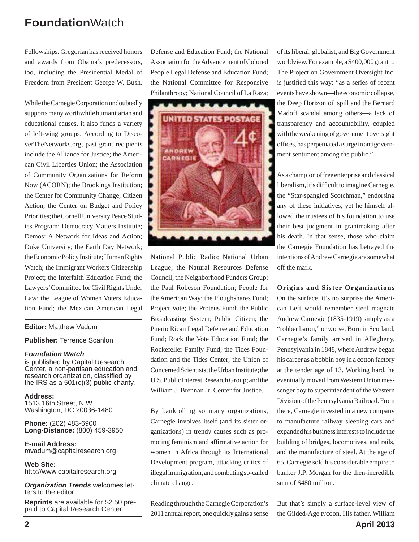Fellowships. Gregorian has received honors and awards from Obama's predecessors, too, including the Presidential Medal of Freedom from President George W. Bush.

While the Carnegie Corporation undoubtedly supports many worthwhile humanitarian and educational causes, it also funds a variety of left-wing groups. According to DiscoverTheNetworks.org, past grant recipients include the Alliance for Justice; the American Civil Liberties Union; the Association of Community Organizations for Reform Now (ACORN); the Brookings Institution; the Center for Community Change; Citizen Action; the Center on Budget and Policy Priorities; the Cornell University Peace Studies Program; Democracy Matters Institute; Demos: A Network for Ideas and Action; Duke University; the Earth Day Network; the Economic Policy Institute; Human Rights Watch; the Immigrant Workers Citizenship Project; the Interfaith Education Fund; the Lawyers' Committee for Civil Rights Under Law; the League of Women Voters Education Fund; the Mexican American Legal

#### **Editor:** Matthew Vadum

#### **Publisher:** Terrence Scanlon

#### *Foundation Watch*

is published by Capital Research Center, a non-partisan education and research organization, classified by the IRS as a  $501(c)(3)$  public charity.

**Address:** 1513 16th Street, N.W. Washington, DC 20036-1480

**Phone:** (202) 483-6900 **Long-Distance:** (800) 459-3950

**E-mail Address:** mvadum@capitalresearch.org

**Web Site:** http://www.capitalresearch.org

*Organization Trends* welcomes letters to the editor.

**Reprints** are available for \$2.50 prepaid to Capital Research Center.

Defense and Education Fund; the National Association for the Advancement of Colored People Legal Defense and Education Fund; the National Committee for Responsive Philanthropy; National Council of La Raza;



National Public Radio; National Urban League; the Natural Resources Defense Council; the Neighborhood Funders Group; the Paul Robeson Foundation; People for the American Way; the Ploughshares Fund; Project Vote; the Proteus Fund; the Public Broadcasting System; Public Citizen; the Puerto Rican Legal Defense and Education Fund; Rock the Vote Education Fund; the Rockefeller Family Fund; the Tides Foundation and the Tides Center; the Union of Concerned Scientists; the Urban Institute; the U.S. Public Interest Research Group; and the William J. Brennan Jr. Center for Justice.

By bankrolling so many organizations, Carnegie involves itself (and its sister organizations) in trendy causes such as promoting feminism and affirmative action for women in Africa through its International Development program, attacking critics of illegal immigration, and combating so-called climate change.

Reading through the Carnegie Corporation's 2011 annual report, one quickly gains a sense of its liberal, globalist, and Big Government worldview. For example, a \$400,000 grant to The Project on Government Oversight Inc. is justified this way: "as a series of recent events have shown—the economic collapse, the Deep Horizon oil spill and the Bernard Madoff scandal among others—a lack of transparency and accountability, coupled with the weakening of government oversight offices, has perpetuated a surge in antigovernment sentiment among the public."

As a champion of free enterprise and classical liberalism, it's difficult to imagine Carnegie, the "Star-spangled Scotchman," endorsing any of these initiatives, yet he himself allowed the trustees of his foundation to use their best judgment in grantmaking after his death. In that sense, those who claim the Carnegie Foundation has betrayed the intentions of Andrew Carnegie are somewhat off the mark.

#### **Origins and Sister Organizations**

On the surface, it's no surprise the American Left would remember steel magnate Andrew Carnegie (1835-1919) simply as a "robber baron," or worse. Born in Scotland, Carnegie's family arrived in Allegheny, Pennsylvania in 1848, where Andrew began his career as a bobbin boy in a cotton factory at the tender age of 13. Working hard, he eventually moved from Western Union messenger boy to superintendent of the Western Division of the Pennsylvania Railroad. From there, Carnegie invested in a new company to manufacture railway sleeping cars and expanded his business interests to include the building of bridges, locomotives, and rails, and the manufacture of steel. At the age of 65, Carnegie sold his considerable empire to banker J.P. Morgan for the then-incredible sum of \$480 million.

**2 April 2013** But that's simply a surface-level view of the Gilded-Age tycoon. His father, William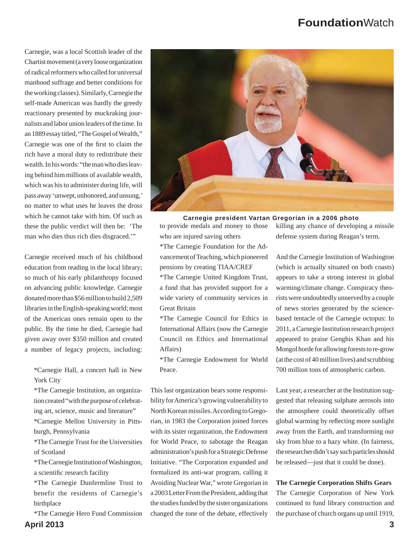Carnegie, was a local Scottish leader of the Chartist movement (a very loose organization of radical reformers who called for universal manhood suffrage and better conditions for the working classes). Similarly, Carnegie the self-made American was hardly the greedy reactionary presented by muckraking journalists and labor union leaders of the time. In an 1889 essay titled, "The Gospel of Wealth," Carnegie was one of the first to claim the rich have a moral duty to redistribute their wealth. In his words: "the man who dies leaving behind him millions of available wealth, which was his to administer during life, will pass away 'unwept, unhonored, and unsung,' no matter to what uses he leaves the dross which he cannot take with him. Of such as these the public verdict will then be: 'The man who dies thus rich dies disgraced.'"

Carnegie received much of his childhood education from reading in the local library; so much of his early philanthropy focused on advancing public knowledge. Carnegie donated more than \$56 million to build 2,509 libraries in the English-speaking world; most of the American ones remain open to the public. By the time he died, Carnegie had given away over \$350 million and created a number of legacy projects, including:

\*Carnegie Hall, a concert hall in New York City

\*The Carnegie Institution, an organization created "with the purpose of celebrating art, science, music and literature" \*Carnegie Mellon University in Pittsburgh, Pennsylvania

\*The Carnegie Trust for the Universities of Scotland

\*The Carnegie Institution of Washington, a scientific research facility

\*The Carnegie Dunfermline Trust to benefit the residents of Carnegie's birthplace

**April 2013 3** \*The Carnegie Hero Fund Commission



to provide medals and money to those who are injured saving others

\*The Carnegie Foundation for the Advancement of Teaching, which pioneered pensions by creating TIAA/CREF

\*The Carnegie United Kingdom Trust, a fund that has provided support for a wide variety of community services in Great Britain

\*The Carnegie Council for Ethics in International Affairs (now the Carnegie Council on Ethics and International Affairs)

\*The Carnegie Endowment for World Peace.

This last organization bears some responsibility for America's growing vulnerability to North Korean missiles. According to Gregorian, in 1983 the Corporation joined forces with its sister organization, the Endowment for World Peace, to sabotage the Reagan administration's push for a Strategic Defense Initiative. "The Corporation expanded and formalized its anti-war program, calling it Avoiding Nuclear War," wrote Gregorian in a 2003 Letter From the President, adding that the studies funded by the sister organizations changed the tone of the debate, effectively

killing any chance of developing a missile defense system during Reagan's term.

And the Carnegie Institution of Washington (which is actually situated on both coasts) appears to take a strong interest in global warming/climate change. Conspiracy theorists were undoubtedly unnerved by a couple of news stories generated by the sciencebased tentacle of the Carnegie octopus: In 2011, a Carnegie Institution research project appeared to praise Genghis Khan and his Mongol horde for allowing forests to re-grow (at the cost of 40 million lives) and scrubbing 700 million tons of atmospheric carbon.

Last year, a researcher at the Institution suggested that releasing sulphate aerosols into the atmosphere could theoretically offset global warming by reflecting more sunlight away from the Earth, and transforming our sky from blue to a hazy white. (In fairness, the researcher didn't say such particles should be released—just that it could be done).

#### **The Carnegie Corporation Shifts Gears**

The Carnegie Corporation of New York continued to fund library construction and the purchase of church organs up until 1919,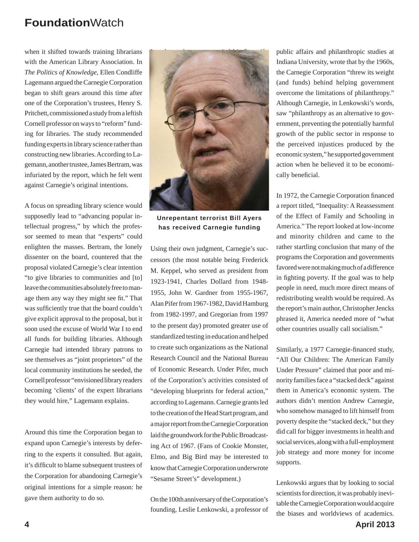when it shifted towards training librarians with the American Library Association. In *The Politics of Knowledge*, Ellen Condliffe Lagemann argued the Carnegie Corporation began to shift gears around this time after one of the Corporation's trustees, Henry S. Pritchett, commissioned a study from a leftish Cornell professor on ways to "reform" funding for libraries. The study recommended funding experts in library science rather than constructing new libraries. According to Lagemann, another trustee, James Bertram, was infuriated by the report, which he felt went against Carnegie's original intentions.

A focus on spreading library science would supposedly lead to "advancing popular intellectual progress," by which the professor seemed to mean that "experts" could enlighten the masses. Bertram, the lonely dissenter on the board, countered that the proposal violated Carnegie's clear intention "to give libraries to communities and [to] leave the communities absolutely free to manage them any way they might see fit." That was sufficiently true that the board couldn't give explicit approval to the proposal, but it soon used the excuse of World War I to end all funds for building libraries. Although Carnegie had intended library patrons to see themselves as "joint proprietors" of the local community institutions he seeded, the Cornell professor "envisioned library readers becoming 'clients' of the expert librarians they would hire," Lagemann explains.

Around this time the Corporation began to expand upon Carnegie's interests by deferring to the experts it consulted. But again, it's difficult to blame subsequent trustees of the Corporation for abandoning Carnegie's original intentions for a simple reason: he gave them authority to do so.



**Unrepentant terrorist Bill Ayers has received Carnegie funding**

Using their own judgment, Carnegie's successors (the most notable being Frederick M. Keppel, who served as president from 1923-1941, Charles Dollard from 1948- 1955, John W. Gardner from 1955-1967, Alan Pifer from 1967-1982, David Hamburg from 1982-1997, and Gregorian from 1997 to the present day) promoted greater use of standardized testing in education and helped to create such organizations as the National Research Council and the National Bureau of Economic Research. Under Pifer, much of the Corporation's activities consisted of "developing blueprints for federal action," according to Lagemann. Carnegie grants led to the creation of the Head Start program, and a major report from the Carnegie Corporation laid the groundwork for the Public Broadcasting Act of 1967. (Fans of Cookie Monster, Elmo, and Big Bird may be interested to know that Carnegie Corporation underwrote "Sesame Street's" development.)

On the 100th anniversary of the Corporation's founding, Leslie Lenkowski, a professor of public affairs and philanthropic studies at Indiana University, wrote that by the 1960s, the Carnegie Corporation "threw its weight (and funds) behind helping government overcome the limitations of philanthropy." Although Carnegie, in Lenkowski's words, saw "philanthropy as an alternative to government, preventing the potentially harmful growth of the public sector in response to the perceived injustices produced by the economic system," he supported government action when he believed it to be economically beneficial.

In 1972, the Carnegie Corporation financed a report titled, "Inequality: A Reassessment of the Effect of Family and Schooling in America." The report looked at low-income and minority children and came to the rather startling conclusion that many of the programs the Corporation and governments favored were not making much of a difference in fighting poverty. If the goal was to help people in need, much more direct means of redistributing wealth would be required. As the report's main author, Christopher Jencks phrased it, America needed more of "what other countries usually call socialism."

Similarly, a 1977 Carnegie-financed study, "All Our Children: The American Family Under Pressure" claimed that poor and minority families face a "stacked deck" against them in America's economic system. The authors didn't mention Andrew Carnegie, who somehow managed to lift himself from poverty despite the "stacked deck," but they did call for bigger investments in health and social services, along with a full-employment job strategy and more money for income supports.

Lenkowski argues that by looking to social scientists for direction, it was probably inevitable the Carnegie Corporation would acquire the biases and worldviews of academics.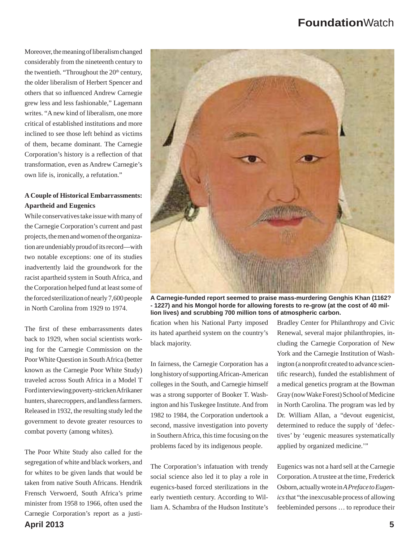Moreover, the meaning of liberalism changed considerably from the nineteenth century to the twentieth. "Throughout the  $20<sup>th</sup>$  century, the older liberalism of Herbert Spencer and others that so influenced Andrew Carnegie grew less and less fashionable," Lagemann writes. "A new kind of liberalism, one more critical of established institutions and more inclined to see those left behind as victims of them, became dominant. The Carnegie Corporation's history is a reflection of that transformation, even as Andrew Carnegie's own life is, ironically, a refutation."

### **A Couple of Historical Embarrassments: Apartheid and Eugenics**

While conservatives take issue with many of the Carnegie Corporation's current and past projects, the men and women of the organization are undeniably proud of its record—with two notable exceptions: one of its studies inadvertently laid the groundwork for the racist apartheid system in South Africa, and the Corporation helped fund at least some of the forced sterilization of nearly 7,600 people in North Carolina from 1929 to 1974.

The first of these embarrassments dates back to 1929, when social scientists working for the Carnegie Commission on the Poor White Question in South Africa (better known as the Carnegie Poor White Study) traveled across South Africa in a Model T Ford interviewing poverty-stricken Afrikaner hunters, sharecroppers, and landless farmers. Released in 1932, the resulting study led the government to devote greater resources to combat poverty (among whites).

**April 2013 5** The Poor White Study also called for the segregation of white and black workers, and for whites to be given lands that would be taken from native South Africans. Hendrik Frensch Verwoerd, South Africa's prime minister from 1958 to 1966, often used the Carnegie Corporation's report as a justi-



**A Carnegie-funded report seemed to praise mass-murdering Genghis Khan (1162? - 1227) and his Mongol horde for allowing forests to re-grow (at the cost of 40 million lives) and scrubbing 700 million tons of atmospheric carbon.**

fication when his National Party imposed its hated apartheid system on the country's black majority.

In fairness, the Carnegie Corporation has a long history of supporting African-American colleges in the South, and Carnegie himself was a strong supporter of Booker T. Washington and his Tuskegee Institute. And from 1982 to 1984, the Corporation undertook a second, massive investigation into poverty in Southern Africa, this time focusing on the problems faced by its indigenous people.

The Corporation's infatuation with trendy social science also led it to play a role in eugenics-based forced sterilizations in the early twentieth century. According to William A. Schambra of the Hudson Institute's

Bradley Center for Philanthropy and Civic Renewal, several major philanthropies, including the Carnegie Corporation of New York and the Carnegie Institution of Washington (a nonprofit created to advance scientific research), funded the establishment of a medical genetics program at the Bowman Gray (now Wake Forest) School of Medicine in North Carolina. The program was led by Dr. William Allan, a "devout eugenicist, determined to reduce the supply of 'defectives' by 'eugenic measures systematically applied by organized medicine.'"

Eugenics was not a hard sell at the Carnegie Corporation. A trustee at the time, Frederick Osborn, actually wrote in *A Preface to Eugenics* that "the inexcusable process of allowing feebleminded persons … to reproduce their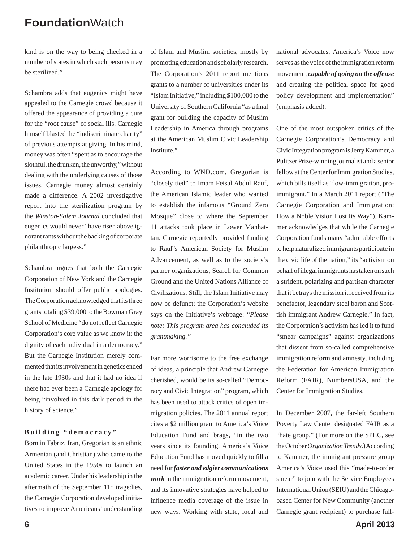kind is on the way to being checked in a number of states in which such persons may be sterilized."

Schambra adds that eugenics might have appealed to the Carnegie crowd because it offered the appearance of providing a cure for the "root cause" of social ills. Carnegie himself blasted the "indiscriminate charity" of previous attempts at giving. In his mind, money was often "spent as to encourage the slothful, the drunken, the unworthy," without dealing with the underlying causes of those issues. Carnegie money almost certainly made a difference. A 2002 investigative report into the sterilization program by the *Winston-Salem Journal* concluded that eugenics would never "have risen above ignorant rants without the backing of corporate philanthropic largess."

Schambra argues that both the Carnegie Corporation of New York and the Carnegie Institution should offer public apologies. The Corporation acknowledged that its three grants totaling \$39,000 to the Bowman Gray School of Medicine "do not reflect Carnegie Corporation's core value as we know it: the dignity of each individual in a democracy." But the Carnegie Institution merely commented that its involvement in genetics ended in the late 1930s and that it had no idea if there had ever been a Carnegie apology for being "involved in this dark period in the history of science."

#### **Building "democracy"**

Born in Tabriz, Iran, Gregorian is an ethnic Armenian (and Christian) who came to the United States in the 1950s to launch an academic career. Under his leadership in the aftermath of the September 11<sup>th</sup> tragedies, the Carnegie Corporation developed initiatives to improve Americans' understanding

of Islam and Muslim societies, mostly by promoting education and scholarly research. The Corporation's 2011 report mentions grants to a number of universities under its "Islam Initiative," including \$100,000 to the University of Southern California "as a final grant for building the capacity of Muslim Leadership in America through programs at the American Muslim Civic Leadership Institute."

According to WND.com, Gregorian is "closely tied" to Imam Feisal Abdul Rauf, the American Islamic leader who wanted to establish the infamous "Ground Zero Mosque" close to where the September 11 attacks took place in Lower Manhattan. Carnegie reportedly provided funding to Rauf's American Society for Muslim Advancement, as well as to the society's partner organizations, Search for Common Ground and the United Nations Alliance of Civilizations. Still, the Islam Initiative may now be defunct; the Corporation's website says on the Initiative's webpage: "*Please note: This program area has concluded its grantmaking."*

Far more worrisome to the free exchange of ideas, a principle that Andrew Carnegie cherished, would be its so-called "Democracy and Civic Integration" program, which has been used to attack critics of open immigration policies. The 2011 annual report cites a \$2 million grant to America's Voice Education Fund and brags, "in the two years since its founding, America's Voice Education Fund has moved quickly to fill a need for *faster and edgier communications work* in the immigration reform movement, and its innovative strategies have helped to influence media coverage of the issue in new ways. Working with state, local and national advocates, America's Voice now serves as the voice of the immigration reform movement, *capable of going on the offense* and creating the political space for good policy development and implementation" (emphasis added).

One of the most outspoken critics of the Carnegie Corporation's Democracy and Civic Integration program is Jerry Kammer, a Pulitzer Prize-winning journalist and a senior fellow at the Center for Immigration Studies, which bills itself as "low-immigration, proimmigrant." In a March 2011 report ("The Carnegie Corporation and Immigration: How a Noble Vision Lost Its Way"), Kammer acknowledges that while the Carnegie Corporation funds many "admirable efforts to help naturalized immigrants participate in the civic life of the nation," its "activism on behalf of illegal immigrants has taken on such a strident, polarizing and partisan character that it betrays the mission it received from its benefactor, legendary steel baron and Scottish immigrant Andrew Carnegie." In fact, the Corporation's activism has led it to fund "smear campaigns" against organizations that dissent from so-called comprehensive immigration reform and amnesty, including the Federation for American Immigration Reform (FAIR), NumbersUSA, and the Center for Immigration Studies.

In December 2007, the far-left Southern Poverty Law Center designated FAIR as a "hate group." (For more on the SPLC, see the October *Organization Trends*.) According to Kammer, the immigrant pressure group America's Voice used this "made-to-order smear" to join with the Service Employees International Union (SEIU) and the Chicagobased Center for New Community (another Carnegie grant recipient) to purchase full-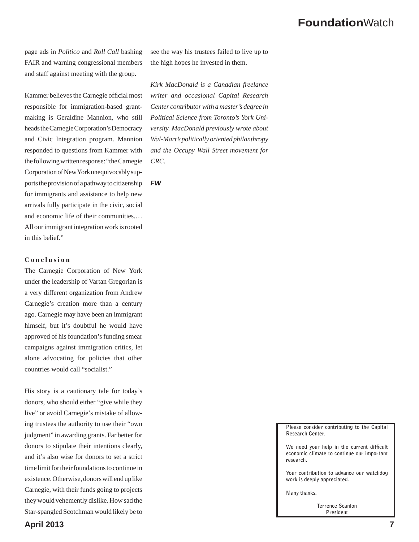page ads in *Politico* and *Roll Call* bashing FAIR and warning congressional members and staff against meeting with the group.

Kammer believes the Carnegie official most responsible for immigration-based grantmaking is Geraldine Mannion, who still heads the Carnegie Corporation's Democracy and Civic Integration program. Mannion responded to questions from Kammer with the following written response: "the Carnegie Corporation of New York unequivocably supports the provision of a pathway to citizenship for immigrants and assistance to help new arrivals fully participate in the civic, social and economic life of their communities.… All our immigrant integration work is rooted in this belief."

#### **Conclusion**

The Carnegie Corporation of New York under the leadership of Vartan Gregorian is a very different organization from Andrew Carnegie's creation more than a century ago. Carnegie may have been an immigrant himself, but it's doubtful he would have approved of his foundation's funding smear campaigns against immigration critics, let alone advocating for policies that other countries would call "socialist."

His story is a cautionary tale for today's donors, who should either "give while they live" or avoid Carnegie's mistake of allowing trustees the authority to use their "own judgment" in awarding grants. Far better for donors to stipulate their intentions clearly, and it's also wise for donors to set a strict time limit for their foundations to continue in existence. Otherwise, donors will end up like Carnegie, with their funds going to projects they would vehemently dislike. How sad the Star-spangled Scotchman would likely be to

see the way his trustees failed to live up to the high hopes he invested in them.

*Kirk MacDonald is a Canadian freelance writer and occasional Capital Research Center contributor with a master's degree in Political Science from Toronto's York University. MacDonald previously wrote about Wal-Mart's politically oriented philanthropy and the Occupy Wall Street movement for CRC.*

*FW*

**Please consider contributing to the Capital Research Center.**

We need your help in the current difficult **economic climate to continue our important research.** 

**Your contribution to advance our watchdog work is deeply appreciated.** 

**Many thanks.** 

**Terrence Scanlon President**

### **April 2013 7**